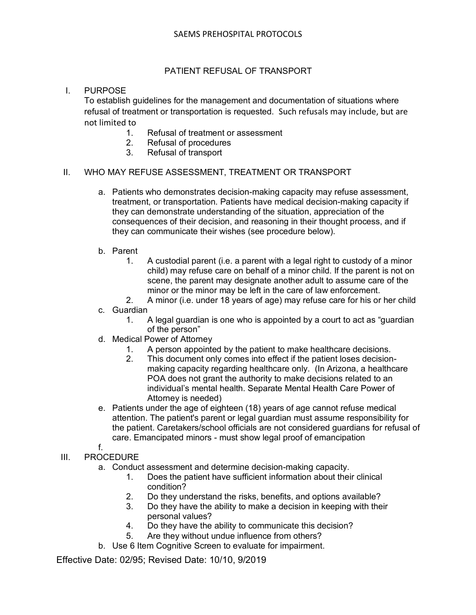# PATIENT REFUSAL OF TRANSPORT

## I. PURPOSE

To establish guidelines for the management and documentation of situations where refusal of treatment or transportation is requested. Such refusals may include, but are not limited to

- 1. Refusal of treatment or assessment
- 2. Refusal of procedures
- 3. Refusal of transport

#### II. WHO MAY REFUSE ASSESSMENT, TREATMENT OR TRANSPORT

- a. Patients who demonstrates decision-making capacity may refuse assessment, treatment, or transportation. Patients have medical decision-making capacity if they can demonstrate understanding of the situation, appreciation of the consequences of their decision, and reasoning in their thought process, and if they can communicate their wishes (see procedure below).
- b. Parent
	- 1. A custodial parent (i.e. a parent with a legal right to custody of a minor child) may refuse care on behalf of a minor child. If the parent is not on scene, the parent may designate another adult to assume care of the minor or the minor may be left in the care of law enforcement.
	- 2. A minor (i.e. under 18 years of age) may refuse care for his or her child
- c. Guardian
	- 1. A legal guardian is one who is appointed by a court to act as "guardian of the person"
- d. Medical Power of Attorney
	- 1. A person appointed by the patient to make healthcare decisions.
	- 2. This document only comes into effect if the patient loses decisionmaking capacity regarding healthcare only. (In Arizona, a healthcare POA does not grant the authority to make decisions related to an individual's mental health. Separate Mental Health Care Power of Attorney is needed)
- e. Patients under the age of eighteen (18) years of age cannot refuse medical attention. The patient's parent or legal guardian must assume responsibility for the patient. Caretakers/school officials are not considered guardians for refusal of care. Emancipated minors - must show legal proof of emancipation f.
- III. PROCEDURE
	- a. Conduct assessment and determine decision-making capacity.
		- 1. Does the patient have sufficient information about their clinical condition?
		- 2. Do they understand the risks, benefits, and options available?
		- 3. Do they have the ability to make a decision in keeping with their personal values?
		- 4. Do they have the ability to communicate this decision?
		- 5. Are they without undue influence from others?
	- b. Use 6 Item Cognitive Screen to evaluate for impairment.

Effective Date: 02/95; Revised Date: 10/10, 9/2019